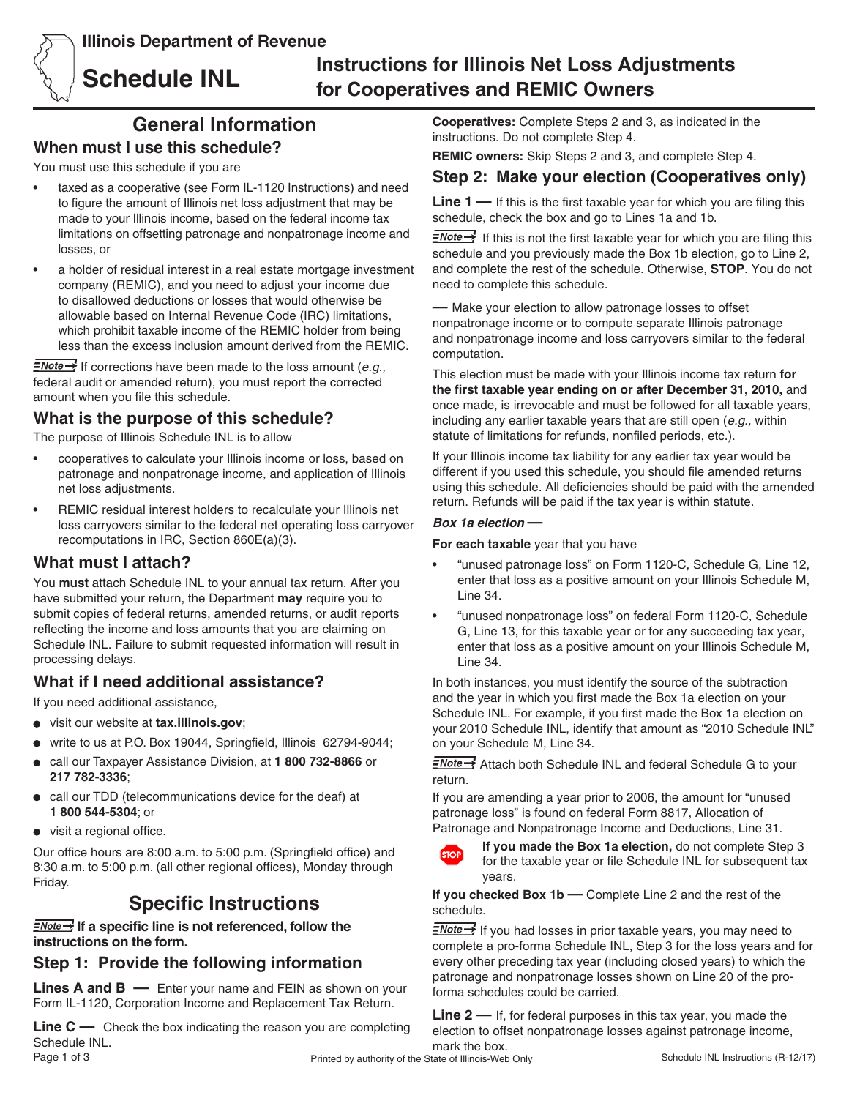**Illinois Department of Revenue**



# **Schedule INL Instructions for Illinois Net Loss Adjustments for Cooperatives and REMIC Owners**

# **General Information**

## **When must I use this schedule?**

You must use this schedule if you are

- taxed as a cooperative (see Form IL-1120 Instructions) and need to figure the amount of Illinois net loss adjustment that may be made to your Illinois income, based on the federal income tax limitations on offsetting patronage and nonpatronage income and losses, or
- a holder of residual interest in a real estate mortgage investment company (REMIC), and you need to adjust your income due to disallowed deductions or losses that would otherwise be allowable based on Internal Revenue Code (IRC) limitations, which prohibit taxable income of the REMIC holder from being less than the excess inclusion amount derived from the REMIC.

**E**Note <sup>1</sup> If corrections have been made to the loss amount (*e.g.*, federal audit or amended return), you must report the corrected amount when you file this schedule.

# **What is the purpose of this schedule?**

The purpose of Illinois Schedule INL is to allow

- cooperatives to calculate your Illinois income or loss, based on patronage and nonpatronage income, and application of Illinois net loss adjustments.
- REMIC residual interest holders to recalculate your Illinois net loss carryovers similar to the federal net operating loss carryover recomputations in IRC, Section 860E(a)(3).

### **What must I attach?**

You **must** attach Schedule INL to your annual tax return. After you have submitted your return, the Department **may** require you to submit copies of federal returns, amended returns, or audit reports reflecting the income and loss amounts that you are claiming on Schedule INL. Failure to submit requested information will result in processing delays.

## **What if I need additional assistance?**

If you need additional assistance,

- visit our website at **tax.illinois.gov**;
- write to us at P.O. Box 19044, Springfield, Illinois 62794-9044;
- call our Taxpayer Assistance Division, at **1 800 732-8866** or  $\bullet$ **217 782-3336**;
- call our TDD (telecommunications device for the deaf) at **1 800 544-5304**; or
- visit a regional office.

Our office hours are 8:00 a.m. to 5:00 p.m. (Springfield office) and 8:30 a.m. to 5:00 p.m. (all other regional offices), Monday through Friday.

# **Specific Instructions**

**I**f a specific line is not referenced, follow the **instructions on the form.**

## **Step 1: Provide the following information**

**Lines A and B —** Enter your name and FEIN as shown on your Form IL-1120, Corporation Income and Replacement Tax Return.

**Line C —** Check the box indicating the reason you are completing Schedule INL.

**Cooperatives:** Complete Steps 2 and 3, as indicated in the instructions. Do not complete Step 4.

**REMIC owners:** Skip Steps 2 and 3, and complete Step 4.

# **Step 2: Make your election (Cooperatives only)**

**Line 1 —** If this is the first taxable year for which you are filing this schedule, check the box and go to Lines 1a and 1b.

 $\equiv$ Note  $\rightarrow$  If this is not the first taxable year for which you are filing this schedule and you previously made the Box 1b election, go to Line 2, and complete the rest of the schedule. Otherwise, **STOP**. You do not need to complete this schedule.

**—** Make your election to allow patronage losses to offset nonpatronage income or to compute separate Illinois patronage and nonpatronage income and loss carryovers similar to the federal computation.

This election must be made with your Illinois income tax return **for the first taxable year ending on or after December 31, 2010,** and once made, is irrevocable and must be followed for all taxable years, including any earlier taxable years that are still open (*e.g.,* within statute of limitations for refunds, nonfiled periods, etc.).

If your Illinois income tax liability for any earlier tax year would be different if you used this schedule, you should file amended returns using this schedule. All deficiencies should be paid with the amended return. Refunds will be paid if the tax year is within statute.

### *Box 1a election* **—**

**For each taxable** year that you have

- "unused patronage loss" on Form 1120-C, Schedule G, Line 12, enter that loss as a positive amount on your Illinois Schedule M, Line 34.
- "unused nonpatronage loss" on federal Form 1120-C, Schedule G, Line 13, for this taxable year or for any succeeding tax year, enter that loss as a positive amount on your Illinois Schedule M, Line 34.

In both instances, you must identify the source of the subtraction and the year in which you first made the Box 1a election on your Schedule INL. For example, if you first made the Box 1a election on your 2010 Schedule INL, identify that amount as "2010 Schedule INL" on your Schedule M, Line 34.

*<u>≡Note →</u>* Attach both Schedule INL and federal Schedule G to your return.

If you are amending a year prior to 2006, the amount for "unused patronage loss" is found on federal Form 8817, Allocation of Patronage and Nonpatronage Income and Deductions, Line 31.



**If you made the Box 1a election,** do not complete Step 3 for the taxable year or file Schedule INL for subsequent tax years.

**If you checked Box 1b —** Complete Line 2 and the rest of the schedule.

**ENote** If you had losses in prior taxable years, you may need to complete a pro-forma Schedule INL, Step 3 for the loss years and for every other preceding tax year (including closed years) to which the patronage and nonpatronage losses shown on Line 20 of the proforma schedules could be carried.

**Line 2 —** If, for federal purposes in this tax year, you made the election to offset nonpatronage losses against patronage income, mark the box.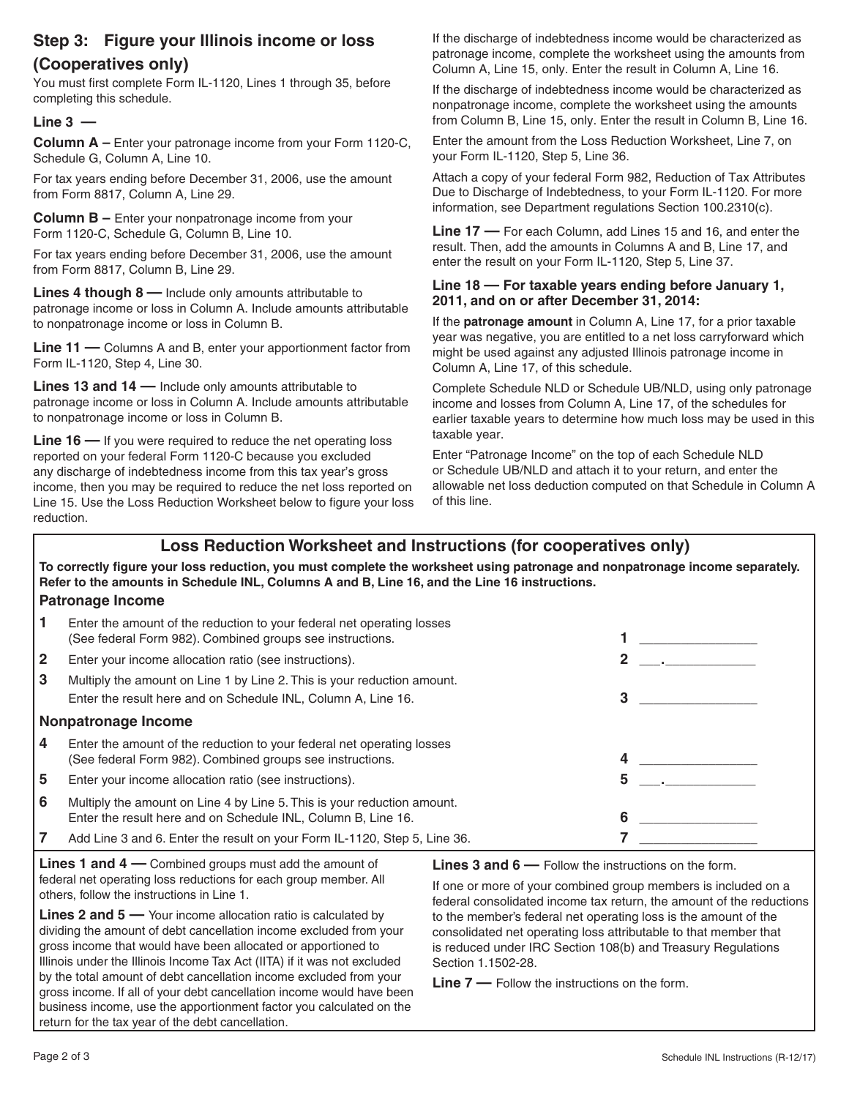# **Step 3: Figure your Illinois income or loss (Cooperatives only)**

You must first complete Form IL-1120, Lines 1 through 35, before completing this schedule.

### **Line 3 —**

**Column A –** Enter your patronage income from your Form 1120-C, Schedule G, Column A, Line 10.

For tax years ending before December 31, 2006, use the amount from Form 8817, Column A, Line 29.

**Column B –** Enter your nonpatronage income from your Form 1120-C, Schedule G, Column B, Line 10.

For tax years ending before December 31, 2006, use the amount from Form 8817, Column B, Line 29.

**Lines 4 though 8 —** Include only amounts attributable to patronage income or loss in Column A. Include amounts attributable to nonpatronage income or loss in Column B.

**Line 11 —** Columns A and B, enter your apportionment factor from Form IL-1120, Step 4, Line 30.

**Lines 13 and 14 —** Include only amounts attributable to patronage income or loss in Column A. Include amounts attributable to nonpatronage income or loss in Column B.

**Line 16 —** If you were required to reduce the net operating loss reported on your federal Form 1120-C because you excluded any discharge of indebtedness income from this tax year's gross income, then you may be required to reduce the net loss reported on Line 15. Use the Loss Reduction Worksheet below to figure your loss reduction.

If the discharge of indebtedness income would be characterized as patronage income, complete the worksheet using the amounts from Column A, Line 15, only. Enter the result in Column A, Line 16.

If the discharge of indebtedness income would be characterized as nonpatronage income, complete the worksheet using the amounts from Column B, Line 15, only. Enter the result in Column B, Line 16.

Enter the amount from the Loss Reduction Worksheet, Line 7, on your Form IL-1120, Step 5, Line 36.

Attach a copy of your federal Form 982, Reduction of Tax Attributes Due to Discharge of Indebtedness, to your Form IL-1120. For more information, see Department regulations Section 100.2310(c).

**Line 17 —** For each Column, add Lines 15 and 16, and enter the result. Then, add the amounts in Columns A and B, Line 17, and enter the result on your Form IL-1120, Step 5, Line 37.

### **Line 18 — For taxable years ending before January 1, 2011, and on or after December 31, 2014:**

If the **patronage amount** in Column A, Line 17, for a prior taxable year was negative, you are entitled to a net loss carryforward which might be used against any adjusted Illinois patronage income in Column A, Line 17, of this schedule.

Complete Schedule NLD or Schedule UB/NLD, using only patronage income and losses from Column A, Line 17, of the schedules for earlier taxable years to determine how much loss may be used in this taxable year.

Enter "Patronage Income" on the top of each Schedule NLD or Schedule UB/NLD and attach it to your return, and enter the allowable net loss deduction computed on that Schedule in Column A of this line.

## **Loss Reduction Worksheet and Instructions (for cooperatives only)**

**To correctly figure your loss reduction, you must complete the worksheet using patronage and nonpatronage income separately. Refer to the amounts in Schedule INL, Columns A and B, Line 16, and the Line 16 instructions.**

### **Patronage Income**

|                     | Enter the amount of the reduction to your federal net operating losses<br>(See federal Form 982). Combined groups see instructions.      |   |
|---------------------|------------------------------------------------------------------------------------------------------------------------------------------|---|
| $\mathbf{2}$        | Enter your income allocation ratio (see instructions).                                                                                   |   |
| 3                   | Multiply the amount on Line 1 by Line 2. This is your reduction amount.<br>Enter the result here and on Schedule INL, Column A, Line 16. |   |
| Nonpatronage Income |                                                                                                                                          |   |
| 4                   | Enter the amount of the reduction to your federal net operating losses<br>(See federal Form 982). Combined groups see instructions.      |   |
| 5                   | Enter your income allocation ratio (see instructions).                                                                                   |   |
| 6                   | Multiply the amount on Line 4 by Line 5. This is your reduction amount.<br>Enter the result here and on Schedule INL, Column B, Line 16. | 6 |
| 7                   | Add Line 3 and 6. Enter the result on your Form IL-1120, Step 5, Line 36.                                                                |   |

**Lines 1 and 4 —** Combined groups must add the amount of federal net operating loss reductions for each group member. All others, follow the instructions in Line 1.

**Lines 2 and 5 —** Your income allocation ratio is calculated by dividing the amount of debt cancellation income excluded from your gross income that would have been allocated or apportioned to Illinois under the Illinois Income Tax Act (IITA) if it was not excluded by the total amount of debt cancellation income excluded from your gross income. If all of your debt cancellation income would have been business income, use the apportionment factor you calculated on the return for the tax year of the debt cancellation.

**Lines 3 and 6 —** Follow the instructions on the form.

If one or more of your combined group members is included on a federal consolidated income tax return, the amount of the reductions to the member's federal net operating loss is the amount of the consolidated net operating loss attributable to that member that is reduced under IRC Section 108(b) and Treasury Regulations Section 1.1502-28.

**Line 7 —** Follow the instructions on the form.